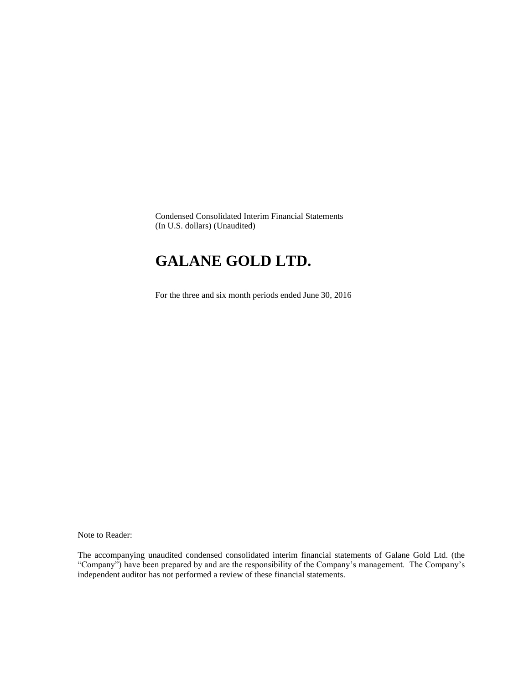Condensed Consolidated Interim Financial Statements (In U.S. dollars) (Unaudited)

# **GALANE GOLD LTD.**

For the three and six month periods ended June 30, 2016

Note to Reader:

The accompanying unaudited condensed consolidated interim financial statements of Galane Gold Ltd. (the "Company") have been prepared by and are the responsibility of the Company's management. The Company's independent auditor has not performed a review of these financial statements.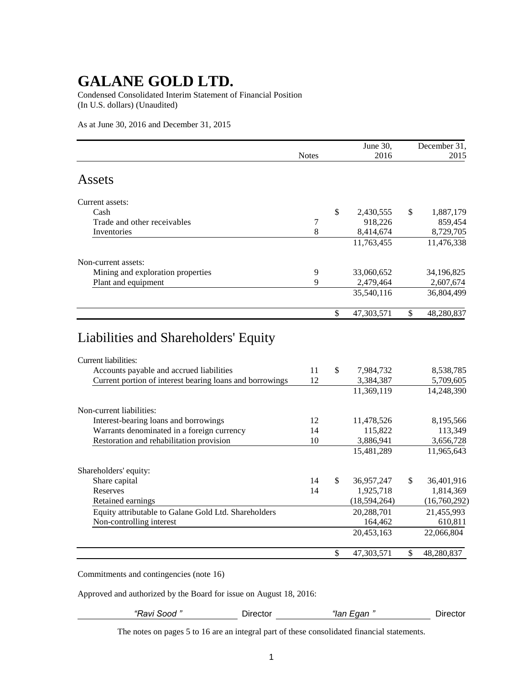Condensed Consolidated Interim Statement of Financial Position (In U.S. dollars) (Unaudited)

As at June 30, 2016 and December 31, 2015

|                                                                                                                                                                      |              | June 30,         |               | December 31, |
|----------------------------------------------------------------------------------------------------------------------------------------------------------------------|--------------|------------------|---------------|--------------|
|                                                                                                                                                                      | <b>Notes</b> | 2016             |               | 2015         |
| Assets<br>Cash<br>Trade and other receivables<br>Inventories<br>Mining and exploration properties<br>Plant and equipment<br>Accounts payable and accrued liabilities |              |                  |               |              |
| Current assets:                                                                                                                                                      |              |                  |               |              |
|                                                                                                                                                                      |              | \$<br>2,430,555  | <sup>\$</sup> | 1,887,179    |
|                                                                                                                                                                      | 7            | 918,226          |               | 859,454      |
|                                                                                                                                                                      | 8            | 8,414,674        |               | 8,729,705    |
|                                                                                                                                                                      |              | 11,763,455       |               | 11,476,338   |
| Non-current assets:                                                                                                                                                  |              |                  |               |              |
|                                                                                                                                                                      | 9            | 33,060,652       |               | 34,196,825   |
|                                                                                                                                                                      | 9            | 2,479,464        |               | 2,607,674    |
|                                                                                                                                                                      |              | 35,540,116       |               | 36,804,499   |
|                                                                                                                                                                      |              | \$<br>47,303,571 | <sup>\$</sup> | 48,280,837   |
| Liabilities and Shareholders' Equity                                                                                                                                 |              |                  |               |              |
| Current liabilities:                                                                                                                                                 |              |                  |               |              |
|                                                                                                                                                                      | 11           | \$<br>7,984,732  |               | 8,538,785    |
| Current portion of interest bearing loans and borrowings                                                                                                             | 12           | 3,384,387        |               | 5,709,605    |
|                                                                                                                                                                      |              | 11,369,119       |               | 14,248,390   |
|                                                                                                                                                                      |              |                  |               |              |

| Current portion of interest bearing loans and borrowings | 12 | 3,384,387        |              | 5,709,605    |
|----------------------------------------------------------|----|------------------|--------------|--------------|
|                                                          |    | 11,369,119       |              | 14,248,390   |
| Non-current liabilities:                                 |    |                  |              |              |
| Interest-bearing loans and borrowings                    | 12 | 11,478,526       |              | 8,195,566    |
| Warrants denominated in a foreign currency               | 14 | 115,822          |              | 113,349      |
| Restoration and rehabilitation provision                 | 10 | 3,886,941        |              | 3,656,728    |
|                                                          |    | 15,481,289       |              | 11,965,643   |
| Shareholders' equity:                                    |    |                  |              |              |
| Share capital                                            | 14 | \$<br>36,957,247 | $\mathbb{S}$ | 36,401,916   |
| Reserves                                                 | 14 | 1,925,718        |              | 1,814,369    |
| Retained earnings                                        |    | (18, 594, 264)   |              | (16,760,292) |
| Equity attributable to Galane Gold Ltd. Shareholders     |    | 20,288,701       |              | 21,455,993   |
| Non-controlling interest                                 |    | 164,462          |              | 610,811      |
|                                                          |    | 20,453,163       |              | 22,066,804   |
|                                                          |    | \$<br>47.303.571 | \$           | 48.280.837   |

Commitments and contingencies (note 16)

Approved and authorized by the Board for issue on August 18, 2016:

| "Ravi Sood" | Director | "Ian Egan" | Director |
|-------------|----------|------------|----------|
|-------------|----------|------------|----------|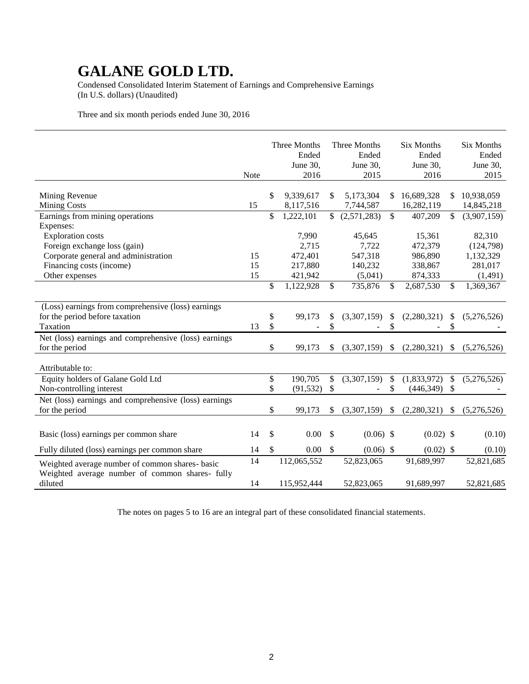Condensed Consolidated Interim Statement of Earnings and Comprehensive Earnings (In U.S. dollars) (Unaudited)

Three and six month periods ended June 30, 2016

|                                                       |             | Three Months    |               | Three Months |                         | <b>Six Months</b> |                           | <b>Six Months</b> |
|-------------------------------------------------------|-------------|-----------------|---------------|--------------|-------------------------|-------------------|---------------------------|-------------------|
|                                                       |             | Ended           |               | Ended        |                         | Ended             |                           | Ended             |
|                                                       |             | June 30,        |               | June 30,     |                         | June 30,          |                           | June 30,          |
|                                                       | <b>Note</b> | 2016            |               | 2015         |                         | 2016              |                           | 2015              |
|                                                       |             |                 |               |              |                         |                   |                           |                   |
| Mining Revenue                                        |             | \$<br>9,339,617 | \$.           | 5,173,304    | \$.                     | 16,689,328        | \$.                       | 10,938,059        |
| <b>Mining Costs</b>                                   | 15          | 8,117,516       |               | 7,744,587    |                         | 16,282,119        |                           | 14,845,218        |
| Earnings from mining operations                       |             | \$<br>1,222,101 | \$            | (2,571,283)  | $\mathbb{S}$            | 407,209           | \$                        | (3,907,159)       |
| Expenses:                                             |             |                 |               |              |                         |                   |                           |                   |
| <b>Exploration</b> costs                              |             | 7,990           |               | 45,645       |                         | 15,361            |                           | 82,310            |
| Foreign exchange loss (gain)                          |             | 2,715           |               | 7,722        |                         | 472,379           |                           | (124,798)         |
| Corporate general and administration                  | 15          | 472,401         |               | 547,318      |                         | 986,890           |                           | 1,132,329         |
| Financing costs (income)                              | 15          | 217,880         |               | 140,232      |                         | 338,867           |                           | 281,017           |
| Other expenses                                        | 15          | 421,942         |               | (5,041)      |                         | 874,333           |                           | (1, 491)          |
|                                                       |             | \$<br>1,122,928 | \$            | 735,876      | \$                      | 2,687,530         | \$                        | 1,369,367         |
|                                                       |             |                 |               |              |                         |                   |                           |                   |
| (Loss) earnings from comprehensive (loss) earnings    |             |                 |               |              |                         |                   |                           |                   |
| for the period before taxation                        |             | \$<br>99,173    | \$            | (3,307,159)  | \$                      | (2,280,321)       | \$                        | (5,276,526)       |
| Taxation                                              | 13          | \$              | \$            |              | \$                      |                   | \$                        |                   |
| Net (loss) earnings and comprehensive (loss) earnings |             |                 |               |              |                         |                   |                           |                   |
| for the period                                        |             | \$<br>99,173    | $\mathbb{S}$  | (3,307,159)  | $\frac{1}{2}$           | (2,280,321)       | \$                        | (5,276,526)       |
|                                                       |             |                 |               |              |                         |                   |                           |                   |
| Attributable to:                                      |             |                 |               |              |                         |                   |                           |                   |
| Equity holders of Galane Gold Ltd                     |             | \$<br>190,705   | $\mathcal{S}$ | (3,307,159)  | $\sqrt[6]{\frac{1}{2}}$ | (1,833,972)       | $\boldsymbol{\mathsf{S}}$ | (5,276,526)       |
| Non-controlling interest                              |             | \$<br>(91, 532) | \$            |              | \$                      | (446, 349)        | \$                        |                   |
| Net (loss) earnings and comprehensive (loss) earnings |             |                 |               |              |                         |                   |                           |                   |
| for the period                                        |             | \$<br>99,173    | \$            | (3,307,159)  | \$                      | (2,280,321)       | \$                        | (5,276,526)       |
|                                                       |             |                 |               |              |                         |                   |                           |                   |
|                                                       |             |                 |               |              |                         |                   |                           |                   |
| Basic (loss) earnings per common share                | 14          | \$<br>$0.00\,$  | $\mathcal{S}$ | $(0.06)$ \$  |                         | $(0.02)$ \$       |                           | (0.10)            |
| Fully diluted (loss) earnings per common share        | 14          | \$<br>0.00      | $\mathcal{S}$ | $(0.06)$ \$  |                         | $(0.02)$ \$       |                           | (0.10)            |
| Weighted average number of common shares- basic       | 14          | 112,065,552     |               | 52,823,065   |                         | 91,689,997        |                           | 52,821,685        |
| Weighted average number of common shares- fully       |             |                 |               |              |                         |                   |                           |                   |
| diluted                                               | 14          | 115,952,444     |               | 52,823,065   |                         | 91,689,997        |                           | 52,821,685        |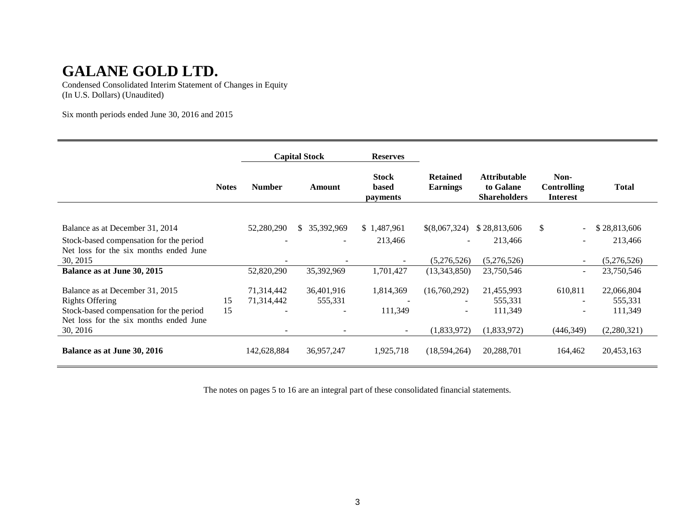Condensed Consolidated Interim Statement of Changes in Equity (In U.S. Dollars) (Unaudited)

Six month periods ended June 30, 2016 and 2015

|                                                                                   |              | <b>Capital Stock</b> |               | <b>Reserves</b>                   |                                    |                                                         |                                               |              |
|-----------------------------------------------------------------------------------|--------------|----------------------|---------------|-----------------------------------|------------------------------------|---------------------------------------------------------|-----------------------------------------------|--------------|
|                                                                                   | <b>Notes</b> | <b>Number</b>        | Amount        | <b>Stock</b><br>based<br>payments | <b>Retained</b><br><b>Earnings</b> | <b>Attributable</b><br>to Galane<br><b>Shareholders</b> | Non-<br><b>Controlling</b><br><b>Interest</b> | Total        |
|                                                                                   |              |                      |               |                                   |                                    |                                                         |                                               |              |
| Balance as at December 31, 2014                                                   |              | 52,280,290           | \$ 35,392,969 | \$1,487,961                       | \$(8,067,324)                      | \$28,813,606                                            | \$<br>$\overline{\phantom{a}}$                | \$28,813,606 |
| Stock-based compensation for the period<br>Net loss for the six months ended June |              |                      |               | 213,466                           |                                    | 213,466                                                 | $\blacksquare$                                | 213,466      |
| 30, 2015                                                                          |              |                      |               |                                   | (5,276,526)                        | (5,276,526)                                             | $\blacksquare$                                | (5,276,526)  |
| Balance as at June 30, 2015                                                       |              | 52,820,290           | 35,392,969    | 1,701,427                         | (13,343,850)                       | 23,750,546                                              | $\overline{\phantom{a}}$                      | 23,750,546   |
| Balance as at December 31, 2015                                                   |              | 71,314,442           | 36,401,916    | 1,814,369                         | (16,760,292)                       | 21,455,993                                              | 610,811                                       | 22,066,804   |
| <b>Rights Offering</b>                                                            | 15           | 71,314,442           | 555,331       |                                   |                                    | 555,331                                                 | $\overline{\phantom{a}}$                      | 555,331      |
| Stock-based compensation for the period                                           | 15           |                      |               | 111,349                           |                                    | 111,349                                                 |                                               | 111,349      |
| Net loss for the six months ended June                                            |              |                      |               |                                   |                                    |                                                         |                                               |              |
| 30, 2016                                                                          |              |                      |               |                                   | (1,833,972)                        | (1,833,972)                                             | (446, 349)                                    | (2,280,321)  |
| Balance as at June 30, 2016                                                       |              | 142,628,884          | 36,957,247    | 1,925,718                         | (18,594,264)                       | 20,288,701                                              | 164,462                                       | 20,453,163   |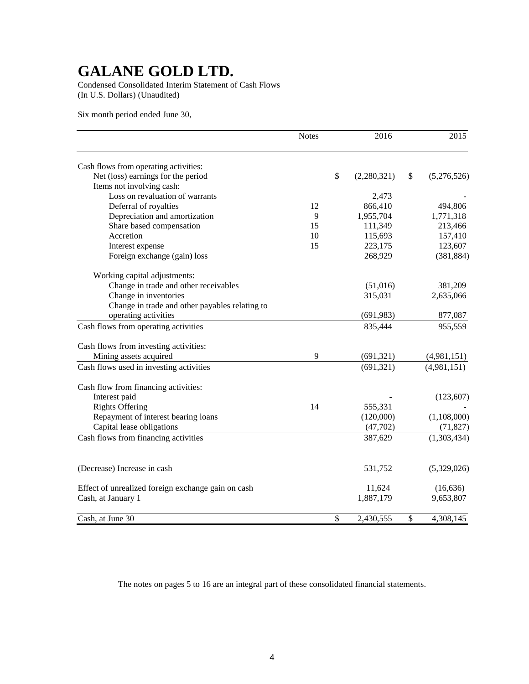Condensed Consolidated Interim Statement of Cash Flows (In U.S. Dollars) (Unaudited)

Six month period ended June 30,

|                                                    | <b>Notes</b> |               | 2016        |               | 2015        |
|----------------------------------------------------|--------------|---------------|-------------|---------------|-------------|
| Cash flows from operating activities:              |              |               |             |               |             |
| Net (loss) earnings for the period                 |              | $\mathcal{S}$ | (2,280,321) | \$            | (5,276,526) |
| Items not involving cash:                          |              |               |             |               |             |
| Loss on revaluation of warrants                    |              |               | 2,473       |               |             |
| Deferral of royalties                              | 12           |               | 866,410     |               | 494,806     |
| Depreciation and amortization                      | 9            |               | 1,955,704   |               | 1,771,318   |
| Share based compensation                           | 15           |               | 111,349     |               | 213,466     |
| Accretion                                          | 10           |               | 115,693     |               | 157,410     |
| Interest expense                                   | 15           |               | 223,175     |               | 123,607     |
| Foreign exchange (gain) loss                       |              |               | 268,929     |               | (381, 884)  |
| Working capital adjustments:                       |              |               |             |               |             |
| Change in trade and other receivables              |              |               | (51,016)    |               | 381,209     |
| Change in inventories                              |              |               | 315,031     |               | 2,635,066   |
| Change in trade and other payables relating to     |              |               |             |               |             |
| operating activities                               |              |               | (691, 983)  |               | 877,087     |
| Cash flows from operating activities               |              |               | 835,444     |               | 955,559     |
| Cash flows from investing activities:              |              |               |             |               |             |
| Mining assets acquired                             | 9            |               | (691, 321)  |               | (4,981,151) |
| Cash flows used in investing activities            |              |               | (691,321)   |               | (4,981,151) |
| Cash flow from financing activities:               |              |               |             |               |             |
| Interest paid                                      |              |               |             |               | (123, 607)  |
| <b>Rights Offering</b>                             | 14           |               | 555,331     |               |             |
| Repayment of interest bearing loans                |              |               | (120,000)   |               | (1,108,000) |
| Capital lease obligations                          |              |               | (47,702)    |               | (71, 827)   |
| Cash flows from financing activities               |              |               | 387,629     |               | (1,303,434) |
| (Decrease) Increase in cash                        |              |               | 531,752     |               | (5,329,026) |
| Effect of unrealized foreign exchange gain on cash |              |               | 11,624      |               | (16, 636)   |
| Cash, at January 1                                 |              |               | 1,887,179   |               | 9,653,807   |
| Cash, at June 30                                   |              | \$            | 2,430,555   | $\mathcal{S}$ | 4,308,145   |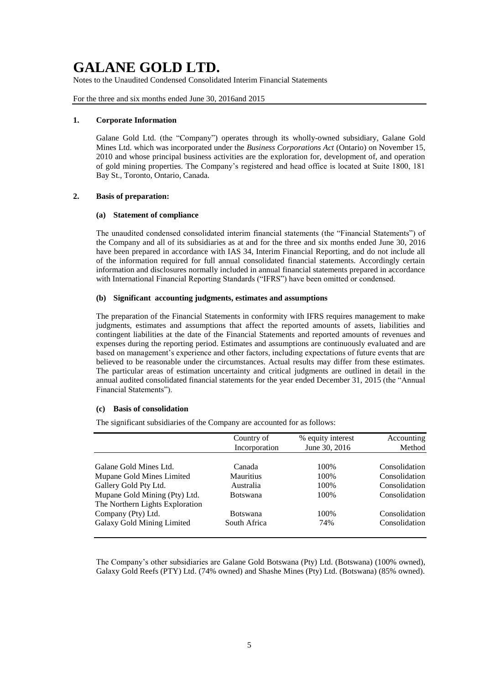Notes to the Unaudited Condensed Consolidated Interim Financial Statements

For the three and six months ended June 30, 2016and 2015

### **1. Corporate Information**

Galane Gold Ltd. (the "Company") operates through its wholly-owned subsidiary, Galane Gold Mines Ltd. which was incorporated under the *Business Corporations Act* (Ontario) on November 15, 2010 and whose principal business activities are the exploration for, development of, and operation of gold mining properties. The Company's registered and head office is located at Suite 1800, 181 Bay St., Toronto, Ontario, Canada.

## **2. Basis of preparation:**

## **(a) Statement of compliance**

The unaudited condensed consolidated interim financial statements (the "Financial Statements") of the Company and all of its subsidiaries as at and for the three and six months ended June 30, 2016 have been prepared in accordance with IAS 34, Interim Financial Reporting, and do not include all of the information required for full annual consolidated financial statements. Accordingly certain information and disclosures normally included in annual financial statements prepared in accordance with International Financial Reporting Standards ("IFRS") have been omitted or condensed.

## **(b) Significant accounting judgments, estimates and assumptions**

The preparation of the Financial Statements in conformity with IFRS requires management to make judgments, estimates and assumptions that affect the reported amounts of assets, liabilities and contingent liabilities at the date of the Financial Statements and reported amounts of revenues and expenses during the reporting period. Estimates and assumptions are continuously evaluated and are based on management's experience and other factors, including expectations of future events that are believed to be reasonable under the circumstances. Actual results may differ from these estimates. The particular areas of estimation uncertainty and critical judgments are outlined in detail in the annual audited consolidated financial statements for the year ended December 31, 2015 (the "Annual Financial Statements").

## **(c) Basis of consolidation**

The significant subsidiaries of the Company are accounted for as follows:

|                                 | Country of<br>Incorporation | % equity interest<br>June 30, 2016 | Accounting<br>Method |
|---------------------------------|-----------------------------|------------------------------------|----------------------|
|                                 |                             |                                    |                      |
| Galane Gold Mines Ltd.          | Canada                      | 100%                               | Consolidation        |
| Mupane Gold Mines Limited       | <b>Mauritius</b>            | 100%                               | Consolidation        |
| Gallery Gold Pty Ltd.           | Australia                   | 100\%                              | Consolidation        |
| Mupane Gold Mining (Pty) Ltd.   | <b>Botswana</b>             | 100%                               | Consolidation        |
| The Northern Lights Exploration |                             |                                    |                      |
| Company (Pty) Ltd.              | <b>Botswana</b>             | 100\%                              | Consolidation        |
| Galaxy Gold Mining Limited      | South Africa                | 74%                                | Consolidation        |

The Company's other subsidiaries are Galane Gold Botswana (Pty) Ltd. (Botswana) (100% owned), Galaxy Gold Reefs (PTY) Ltd. (74% owned) and Shashe Mines (Pty) Ltd. (Botswana) (85% owned).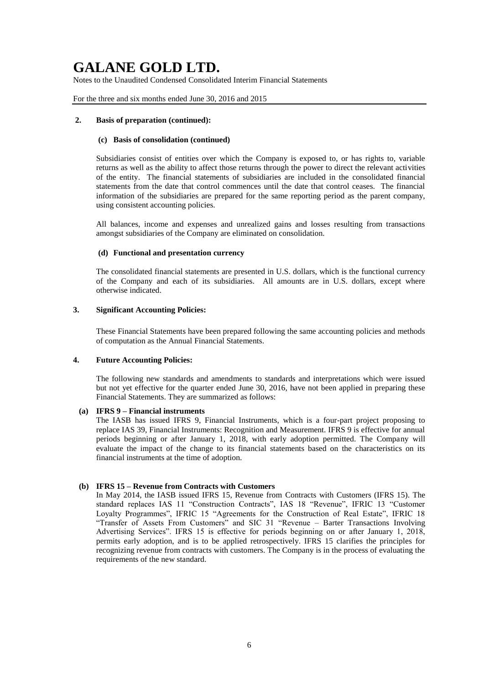Notes to the Unaudited Condensed Consolidated Interim Financial Statements

For the three and six months ended June 30, 2016 and 2015

## **2. Basis of preparation (continued):**

## **(c) Basis of consolidation (continued)**

Subsidiaries consist of entities over which the Company is exposed to, or has rights to, variable returns as well as the ability to affect those returns through the power to direct the relevant activities of the entity. The financial statements of subsidiaries are included in the consolidated financial statements from the date that control commences until the date that control ceases. The financial information of the subsidiaries are prepared for the same reporting period as the parent company, using consistent accounting policies.

All balances, income and expenses and unrealized gains and losses resulting from transactions amongst subsidiaries of the Company are eliminated on consolidation.

## **(d) Functional and presentation currency**

The consolidated financial statements are presented in U.S. dollars, which is the functional currency of the Company and each of its subsidiaries. All amounts are in U.S. dollars, except where otherwise indicated.

## **3. Significant Accounting Policies:**

These Financial Statements have been prepared following the same accounting policies and methods of computation as the Annual Financial Statements.

## **4. Future Accounting Policies:**

The following new standards and amendments to standards and interpretations which were issued but not yet effective for the quarter ended June 30, 2016, have not been applied in preparing these Financial Statements. They are summarized as follows:

### **(a) IFRS 9 – Financial instruments**

The IASB has issued IFRS 9, Financial Instruments, which is a four-part project proposing to replace IAS 39, Financial Instruments: Recognition and Measurement. IFRS 9 is effective for annual periods beginning or after January 1, 2018, with early adoption permitted. The Company will evaluate the impact of the change to its financial statements based on the characteristics on its financial instruments at the time of adoption.

## **(b) IFRS 15 – Revenue from Contracts with Customers**

In May 2014, the IASB issued IFRS 15, Revenue from Contracts with Customers (IFRS 15). The standard replaces IAS 11 "Construction Contracts", IAS 18 "Revenue", IFRIC 13 "Customer Loyalty Programmes", IFRIC 15 "Agreements for the Construction of Real Estate", IFRIC 18 "Transfer of Assets From Customers" and SIC 31 "Revenue – Barter Transactions Involving Advertising Services". IFRS 15 is effective for periods beginning on or after January 1, 2018, permits early adoption, and is to be applied retrospectively. IFRS 15 clarifies the principles for recognizing revenue from contracts with customers. The Company is in the process of evaluating the requirements of the new standard.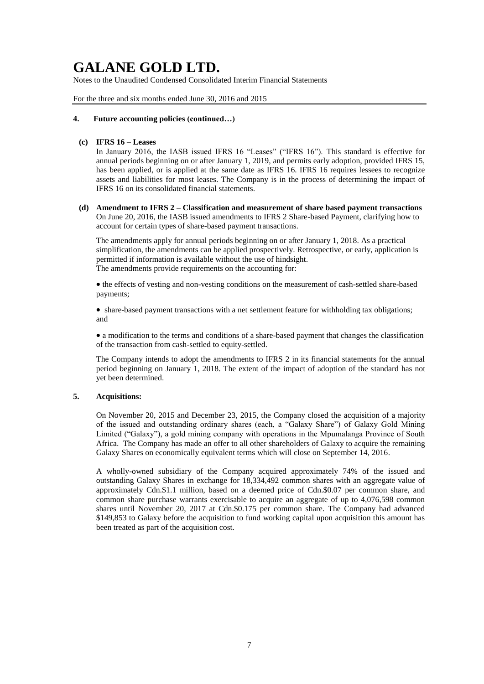Notes to the Unaudited Condensed Consolidated Interim Financial Statements

For the three and six months ended June 30, 2016 and 2015

## **4. Future accounting policies (continued…)**

## **(c) IFRS 16 – Leases**

In January 2016, the IASB issued IFRS 16 "Leases" ("IFRS 16"). This standard is effective for annual periods beginning on or after January 1, 2019, and permits early adoption, provided IFRS 15, has been applied, or is applied at the same date as IFRS 16. IFRS 16 requires lessees to recognize assets and liabilities for most leases. The Company is in the process of determining the impact of IFRS 16 on its consolidated financial statements.

**(d) Amendment to IFRS 2 – Classification and measurement of share based payment transactions** On June 20, 2016, the IASB issued amendments to IFRS 2 Share-based Payment, clarifying how to account for certain types of share-based payment transactions.

The amendments apply for annual periods beginning on or after January 1, 2018. As a practical simplification, the amendments can be applied prospectively. Retrospective, or early, application is permitted if information is available without the use of hindsight. The amendments provide requirements on the accounting for:

• the effects of vesting and non-vesting conditions on the measurement of cash-settled share-based payments;

 share-based payment transactions with a net settlement feature for withholding tax obligations; and

 a modification to the terms and conditions of a share-based payment that changes the classification of the transaction from cash-settled to equity-settled.

The Company intends to adopt the amendments to IFRS 2 in its financial statements for the annual period beginning on January 1, 2018. The extent of the impact of adoption of the standard has not yet been determined.

## **5. Acquisitions:**

On November 20, 2015 and December 23, 2015, the Company closed the acquisition of a majority of the issued and outstanding ordinary shares (each, a "Galaxy Share") of Galaxy Gold Mining Limited ("Galaxy"), a gold mining company with operations in the Mpumalanga Province of South Africa. The Company has made an offer to all other shareholders of Galaxy to acquire the remaining Galaxy Shares on economically equivalent terms which will close on September 14, 2016.

A wholly-owned subsidiary of the Company acquired approximately 74% of the issued and outstanding Galaxy Shares in exchange for 18,334,492 common shares with an aggregate value of approximately Cdn.\$1.1 million, based on a deemed price of Cdn.\$0.07 per common share, and common share purchase warrants exercisable to acquire an aggregate of up to 4,076,598 common shares until November 20, 2017 at Cdn.\$0.175 per common share. The Company had advanced \$149,853 to Galaxy before the acquisition to fund working capital upon acquisition this amount has been treated as part of the acquisition cost.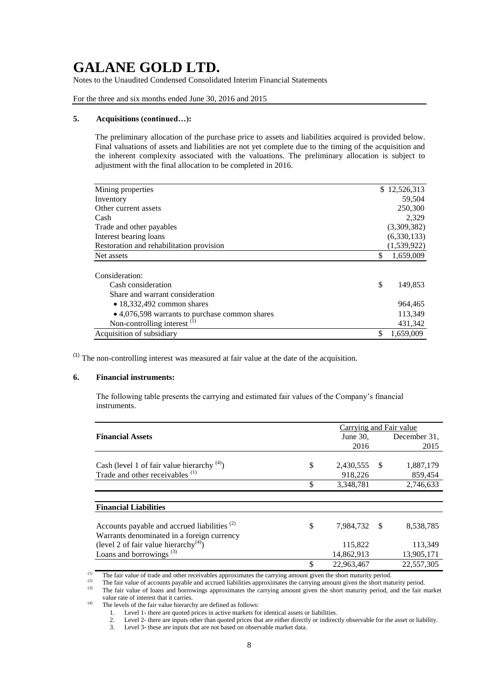Notes to the Unaudited Condensed Consolidated Interim Financial Statements

For the three and six months ended June 30, 2016 and 2015

### **5. Acquisitions (continued…):**

The preliminary allocation of the purchase price to assets and liabilities acquired is provided below. Final valuations of assets and liabilities are not yet complete due to the timing of the acquisition and the inherent complexity associated with the valuations. The preliminary allocation is subject to adjustment with the final allocation to be completed in 2016.

| Mining properties                              | \$12,526,313    |
|------------------------------------------------|-----------------|
| Inventory                                      | 59,504          |
| Other current assets                           | 250,300         |
| Cash                                           | 2,329           |
| Trade and other payables                       | (3,309,382)     |
| Interest bearing loans                         | (6,330,133)     |
| Restoration and rehabilitation provision       | (1,539,922)     |
| Net assets                                     | \$<br>1,659,009 |
|                                                |                 |
| Consideration:                                 |                 |
| Cash consideration                             | \$<br>149,853   |
| Share and warrant consideration                |                 |
| $\bullet$ 18,332,492 common shares             | 964,465         |
| • 4,076,598 warrants to purchase common shares | 113,349         |
| Non-controlling interest $(1)$                 | 431,342         |
| Acquisition of subsidiary                      | \$<br>1,659,009 |

 $<sup>(1)</sup>$  The non-controlling interest was measured at fair value at the date of the acquisition.</sup>

## **6. Financial instruments:**

The following table presents the carrying and estimated fair values of the Company's financial instruments.

|                                                         |     | Carrying and Fair value |    |              |
|---------------------------------------------------------|-----|-------------------------|----|--------------|
| <b>Financial Assets</b>                                 |     | June $30$ ,             |    | December 31, |
|                                                         |     | 2016                    |    | 2015         |
|                                                         |     |                         |    |              |
| Cash (level 1 of fair value hierarchy $(4)$ )           | \$  | 2,430,555               | -S | 1,887,179    |
| Trade and other receivables <sup>(1)</sup>              |     | 918,226                 |    | 859,454      |
|                                                         | \$  | 3,348,781               |    | 2,746,633    |
|                                                         |     |                         |    |              |
| <b>Financial Liabilities</b>                            |     |                         |    |              |
| Accounts payable and accrued liabilities <sup>(2)</sup> | \$  |                         | -S |              |
|                                                         |     | 7,984,732               |    | 8,538,785    |
| Warrants denominated in a foreign currency              |     |                         |    |              |
| (level 2 of fair value hierarchy <sup>(4)</sup> )       |     | 115,822                 |    | 113,349      |
| Loans and borrowings <sup>(3)</sup>                     |     | 14,862,913              |    | 13,905,171   |
|                                                         | \$. | 22,963,467              |    | 22,557,305   |

(1) The fair value of trade and other receivables approximates the carrying amount given the short maturity period.<br>
The fair value of accounts payable and accrued liabilities approximates the carrying amount given the sh

(2) The fair value of accounts payable and accrued liabilities approximates the carrying amount given the short maturity period.<br>
The fair value of leaps and homovings approximates the segment given the short maturity per The fair value of loans and borrowings approximates the carrying amount given the short maturity period, and the fair market value rate of interest that it carries.

(4) The levels of the fair value hierarchy are defined as follows:

1. Level 1- there are quoted prices in active markets for identical assets or liabilities.

2. Level 2- there are inputs other than quoted prices that are either directly or indirectly observable for the asset or liability.<br>3. Level 3- these are inputs that are not based on observable market data.

Level 3- these are inputs that are not based on observable market data.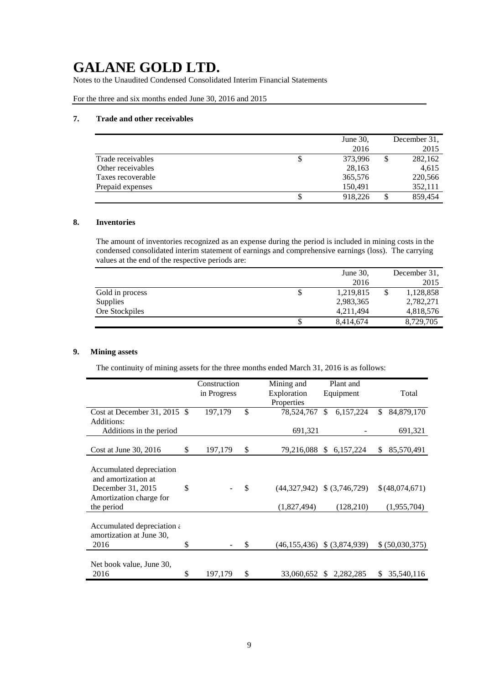Notes to the Unaudited Condensed Consolidated Interim Financial Statements

For the three and six months ended June 30, 2016 and 2015

### **7. Trade and other receivables**

|                   |   | June $30$ , | December 31. |
|-------------------|---|-------------|--------------|
|                   |   | 2016        | 2015         |
| Trade receivables | S | 373,996     | 282,162      |
| Other receivables |   | 28,163      | 4,615        |
| Taxes recoverable |   | 365,576     | 220,566      |
| Prepaid expenses  |   | 150,491     | 352,111      |
|                   |   | 918,226     | 859,454      |

# **8. Inventories**

The amount of inventories recognized as an expense during the period is included in mining costs in the condensed consolidated interim statement of earnings and comprehensive earnings (loss). The carrying values at the end of the respective periods are:

|                 | June 30,        | December 31, |
|-----------------|-----------------|--------------|
|                 | 2016            | 2015         |
| Gold in process | \$<br>1,219,815 | 1,128,858    |
| <b>Supplies</b> | 2,983,365       | 2,782,271    |
| Ore Stockpiles  | 4,211,494       | 4,818,576    |
|                 | \$<br>8.414.674 | 8,729,705    |

# **9. Mining assets**

The continuity of mining assets for the three months ended March 31, 2016 is as follows:

|                                        | Construction  | Mining and          | Plant and                       |                   |
|----------------------------------------|---------------|---------------------|---------------------------------|-------------------|
|                                        | in Progress   | Exploration         | Equipment                       | Total             |
|                                        |               | Properties          |                                 |                   |
| Cost at December 31, 2015 $\,$         | 197,179       | \$<br>78,524,767    | \$<br>6,157,224                 | \$<br>84,879,170  |
| Additions:                             |               |                     |                                 |                   |
| Additions in the period                |               | 691,321             |                                 | 691,321           |
|                                        |               |                     |                                 |                   |
| Cost at June $30, 2016$                | \$<br>197,179 | \$<br>79,216,088 \$ | 6,157,224                       | 85,570,491<br>\$  |
|                                        |               |                     |                                 |                   |
| Accumulated depreciation               |               |                     |                                 |                   |
| and amortization at                    |               |                     |                                 |                   |
| December 31, 2015                      | \$            | \$                  | $(44,327,942)$ \$ $(3,746,729)$ | \$(48,074,671)    |
| Amortization charge for                |               |                     |                                 |                   |
| the period                             |               | (1,827,494)         | (128,210)                       | (1,955,704)       |
|                                        |               |                     |                                 |                   |
| Accumulated depreciation $\varepsilon$ |               |                     |                                 |                   |
| amortization at June 30,               |               |                     |                                 |                   |
| 2016                                   | \$            | \$<br>(46,155,436)  | $$$ (3,874,939)                 | \$ (50,030,375)   |
|                                        |               |                     |                                 |                   |
| Net book value, June 30,               |               |                     |                                 |                   |
| 2016                                   | \$<br>197,179 | \$                  | 33,060,652 \$ 2,282,285         | 35,540,116<br>\$. |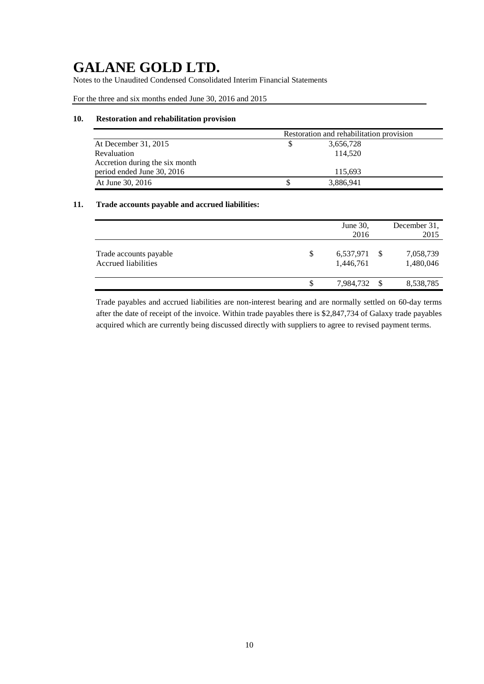Notes to the Unaudited Condensed Consolidated Interim Financial Statements

For the three and six months ended June 30, 2016 and 2015

## **10. Restoration and rehabilitation provision**

|                                | Restoration and rehabilitation provision |  |
|--------------------------------|------------------------------------------|--|
| At December 31, 2015           | 3,656,728<br>S                           |  |
| Revaluation                    | 114,520                                  |  |
| Accretion during the six month |                                          |  |
| period ended June 30, 2016     | 115.693                                  |  |
| At June 30, 2016               | 3,886,941                                |  |

# **11. Trade accounts payable and accrued liabilities:**

|                                               | June 30,<br>2016             |    | December 31,<br>2015   |
|-----------------------------------------------|------------------------------|----|------------------------|
| Trade accounts payable<br>Accrued liabilities | \$<br>6,537,971<br>1,446,761 | S  | 7,058,739<br>1,480,046 |
|                                               | \$<br>7,984,732              | -S | 8,538,785              |

Trade payables and accrued liabilities are non-interest bearing and are normally settled on 60-day terms after the date of receipt of the invoice. Within trade payables there is \$2,847,734 of Galaxy trade payables acquired which are currently being discussed directly with suppliers to agree to revised payment terms.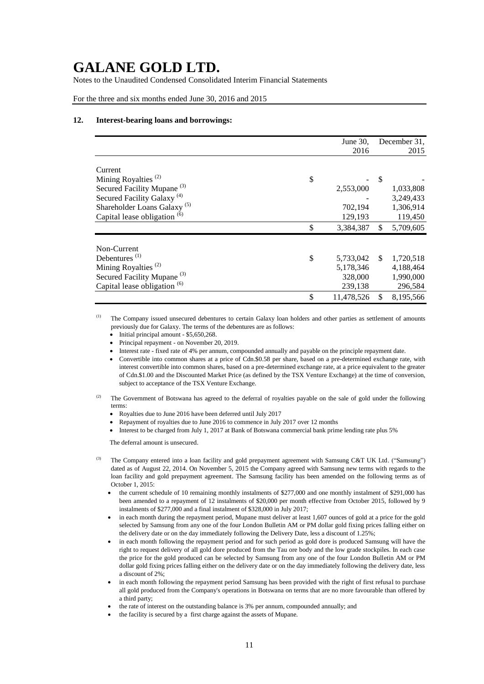Notes to the Unaudited Condensed Consolidated Interim Financial Statements

For the three and six months ended June 30, 2016 and 2015

#### **12. Interest-bearing loans and borrowings:**

|                                         | June $30$ .      |     | December 31, |
|-----------------------------------------|------------------|-----|--------------|
|                                         | 2016             |     | 2015         |
|                                         |                  |     |              |
| Current                                 |                  |     |              |
| Mining Royalties <sup>(2)</sup>         | \$               | \$  |              |
| Secured Facility Mupane <sup>(3)</sup>  | 2,553,000        |     | 1,033,808    |
| Secured Facility Galaxy <sup>(4)</sup>  |                  |     | 3,249,433    |
| Shareholder Loans Galaxy <sup>(5)</sup> | 702,194          |     | 1,306,914    |
| Capital lease obligation (6)            | 129,193          |     | 119,450      |
|                                         | \$<br>3,384,387  | \$  | 5,709,605    |
|                                         |                  |     |              |
| Non-Current                             |                  |     |              |
| Debentures <sup>(1)</sup>               | \$<br>5,733,042  | \$. | 1,720,518    |
| Mining Royalties <sup>(2)</sup>         | 5,178,346        |     | 4,188,464    |
| Secured Facility Mupane <sup>(3)</sup>  | 328,000          |     | 1,990,000    |
| Capital lease obligation <sup>(6)</sup> | 239,138          |     | 296,584      |
|                                         | \$<br>11.478.526 | \$. | 8,195,566    |

The Company issued unsecured debentures to certain Galaxy loan holders and other parties as settlement of amounts previously due for Galaxy. The terms of the debentures are as follows:

- Initial principal amount \$5,650,268.
- Principal repayment on November 20, 2019.
- Interest rate fixed rate of 4% per annum, compounded annually and payable on the principle repayment date.
- Convertible into common shares at a price of Cdn.\$0.58 per share, based on a pre-determined exchange rate, with interest convertible into common shares, based on a pre-determined exchange rate, at a price equivalent to the greater of Cdn.\$1.00 and the Discounted Market Price (as defined by the TSX Venture Exchange) at the time of conversion, subject to acceptance of the TSX Venture Exchange.
- <sup>(2)</sup> The Government of Botswana has agreed to the deferral of royalties payable on the sale of gold under the following terms:
	- Royalties due to June 2016 have been deferred until July 2017
	- Repayment of royalties due to June 2016 to commence in July 2017 over 12 months
	- Interest to be charged from July 1, 2017 at Bank of Botswana commercial bank prime lending rate plus 5%

The deferral amount is unsecured.

- <sup>(3)</sup> The Company entered into a loan facility and gold prepayment agreement with Samsung C&T UK Ltd. ("Samsung") dated as of August 22, 2014. On November 5, 2015 the Company agreed with Samsung new terms with regards to the loan facility and gold prepayment agreement. The Samsung facility has been amended on the following terms as of October 1, 2015:
	- the current schedule of 10 remaining monthly instalments of \$277,000 and one monthly instalment of \$291,000 has been amended to a repayment of 12 instalments of \$20,000 per month effective from October 2015, followed by 9 instalments of \$277,000 and a final instalment of \$328,000 in July 2017;
	- in each month during the repayment period, Mupane must deliver at least 1,607 ounces of gold at a price for the gold selected by Samsung from any one of the four London Bulletin AM or PM dollar gold fixing prices falling either on the delivery date or on the day immediately following the Delivery Date, less a discount of 1.25%;
	- in each month following the repayment period and for such period as gold dore is produced Samsung will have the right to request delivery of all gold dore produced from the Tau ore body and the low grade stockpiles. In each case the price for the gold produced can be selected by Samsung from any one of the four London Bulletin AM or PM dollar gold fixing prices falling either on the delivery date or on the day immediately following the delivery date, less a discount of 2%;
	- in each month following the repayment period Samsung has been provided with the right of first refusal to purchase all gold produced from the Company's operations in Botswana on terms that are no more favourable than offered by a third party;
	- the rate of interest on the outstanding balance is 3% per annum, compounded annually; and
	- the facility is secured by a first charge against the assets of Mupane.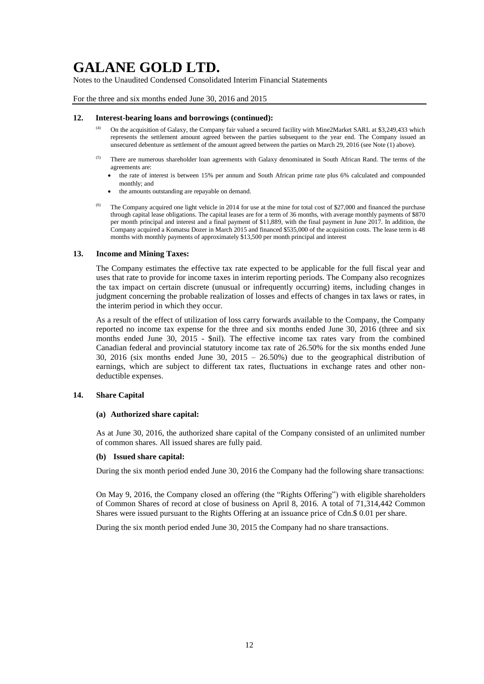Notes to the Unaudited Condensed Consolidated Interim Financial Statements

For the three and six months ended June 30, 2016 and 2015

### **12. Interest-bearing loans and borrowings (continued):**

- On the acquisition of Galaxy, the Company fair valued a secured facility with Mine2Market SARL at \$3,249,433 which represents the settlement amount agreed between the parties subsequent to the year end. The Company issued an unsecured debenture as settlement of the amount agreed between the parties on March 29, 2016 (see Note (1) above).
- There are numerous shareholder loan agreements with Galaxy denominated in South African Rand. The terms of the agreements are:
	- the rate of interest is between 15% per annum and South African prime rate plus 6% calculated and compounded monthly; and
	- the amounts outstanding are repayable on demand.
- The Company acquired one light vehicle in 2014 for use at the mine for total cost of \$27,000 and financed the purchase through capital lease obligations. The capital leases are for a term of 36 months, with average monthly payments of \$870 per month principal and interest and a final payment of \$11,889, with the final payment in June 2017. In addition, the Company acquired a Komatsu Dozer in March 2015 and financed \$535,000 of the acquisition costs. The lease term is 48 months with monthly payments of approximately \$13,500 per month principal and interest

### **13. Income and Mining Taxes:**

The Company estimates the effective tax rate expected to be applicable for the full fiscal year and uses that rate to provide for income taxes in interim reporting periods. The Company also recognizes the tax impact on certain discrete (unusual or infrequently occurring) items, including changes in judgment concerning the probable realization of losses and effects of changes in tax laws or rates, in the interim period in which they occur.

As a result of the effect of utilization of loss carry forwards available to the Company, the Company reported no income tax expense for the three and six months ended June 30, 2016 (three and six months ended June 30, 2015 - \$nil). The effective income tax rates vary from the combined Canadian federal and provincial statutory income tax rate of 26.50% for the six months ended June 30, 2016 (six months ended June 30, 2015 – 26.50%) due to the geographical distribution of earnings, which are subject to different tax rates, fluctuations in exchange rates and other nondeductible expenses.

### **14. Share Capital**

### **(a) Authorized share capital:**

As at June 30, 2016, the authorized share capital of the Company consisted of an unlimited number of common shares. All issued shares are fully paid.

### **(b) Issued share capital:**

During the six month period ended June 30, 2016 the Company had the following share transactions:

On May 9, 2016, the Company closed an offering (the "Rights Offering") with eligible shareholders of Common Shares of record at close of business on April 8, 2016. A total of 71,314,442 Common Shares were issued pursuant to the Rights Offering at an issuance price of Cdn.\$ 0.01 per share.

During the six month period ended June 30, 2015 the Company had no share transactions.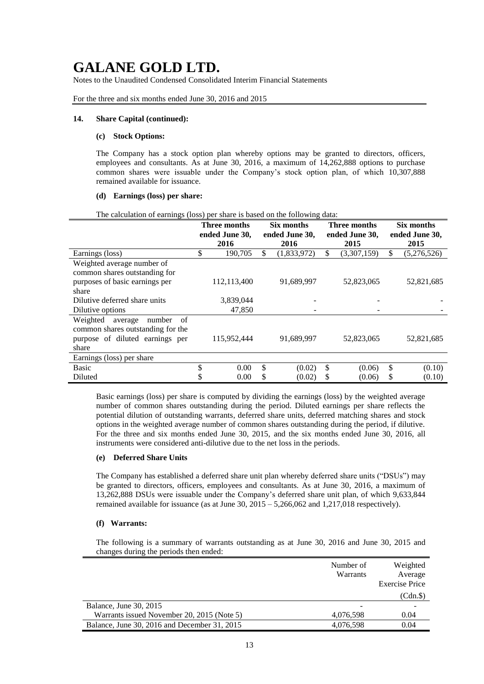Notes to the Unaudited Condensed Consolidated Interim Financial Statements

For the three and six months ended June 30, 2016 and 2015

### **14. Share Capital (continued):**

### **(c) Stock Options:**

The Company has a stock option plan whereby options may be granted to directors, officers, employees and consultants. As at June 30, 2016, a maximum of 14,262,888 options to purchase common shares were issuable under the Company's stock option plan, of which 10,307,888 remained available for issuance.

## **(d) Earnings (loss) per share:**

| The calculation of earnings (loss) per share is based on the following data: |              |                |               |                                   |    |                |                |             |
|------------------------------------------------------------------------------|--------------|----------------|---------------|-----------------------------------|----|----------------|----------------|-------------|
|                                                                              | Three months |                |               | Six months<br><b>Three months</b> |    |                |                | Six months  |
|                                                                              |              | ended June 30, |               | ended June 30,                    |    | ended June 30, | ended June 30, |             |
|                                                                              |              | 2016           |               | 2016                              |    | 2015           |                | 2015        |
| Earnings (loss)                                                              | \$           | 190,705        | \$            | (1,833,972)                       | \$ | (3,307,159)    | \$             | (5,276,526) |
| Weighted average number of                                                   |              |                |               |                                   |    |                |                |             |
| common shares outstanding for                                                |              |                |               |                                   |    |                |                |             |
| purposes of basic earnings per                                               |              | 112,113,400    |               | 91,689,997                        |    | 52,823,065     |                | 52,821,685  |
| share                                                                        |              |                |               |                                   |    |                |                |             |
| Dilutive deferred share units                                                |              | 3,839,044      |               |                                   |    |                |                |             |
| Dilutive options                                                             |              | 47,850         |               |                                   |    |                |                |             |
| Weighted<br>number<br>average<br>-of                                         |              |                |               |                                   |    |                |                |             |
| common shares outstanding for the                                            |              |                |               |                                   |    |                |                |             |
| purpose of diluted earnings per                                              |              | 115,952,444    |               | 91,689,997                        |    | 52,823,065     |                | 52,821,685  |
| share                                                                        |              |                |               |                                   |    |                |                |             |
| Earnings (loss) per share                                                    |              |                |               |                                   |    |                |                |             |
| <b>Basic</b>                                                                 | \$           | 0.00           | <sup>\$</sup> | (0.02)                            | \$ | (0.06)         | \$             | (0.10)      |
| Diluted                                                                      | J            | 0.00           | \$            | (0.02)                            | \$ | (0.06)         | \$             | (0.10)      |

Basic earnings (loss) per share is computed by dividing the earnings (loss) by the weighted average number of common shares outstanding during the period. Diluted earnings per share reflects the potential dilution of outstanding warrants, deferred share units, deferred matching shares and stock options in the weighted average number of common shares outstanding during the period, if dilutive. For the three and six months ended June 30, 2015, and the six months ended June 30, 2016, all instruments were considered anti-dilutive due to the net loss in the periods.

## **(e) Deferred Share Units**

The Company has established a deferred share unit plan whereby deferred share units ("DSUs") may be granted to directors, officers, employees and consultants. As at June 30, 2016, a maximum of 13,262,888 DSUs were issuable under the Company's deferred share unit plan, of which 9,633,844 remained available for issuance (as at June 30,  $2015 - 5.266062$  and  $1.217018$  respectively).

## **(f) Warrants:**

The following is a summary of warrants outstanding as at June 30, 2016 and June 30, 2015 and changes during the periods then ended:

|                                              | Number of<br>Warrants | Weighted<br>Average<br><b>Exercise Price</b> |
|----------------------------------------------|-----------------------|----------------------------------------------|
|                                              |                       | $(Cdn.\$                                     |
| Balance, June 30, 2015                       |                       |                                              |
| Warrants issued November 20, 2015 (Note 5)   | 4,076,598             | 0.04                                         |
| Balance, June 30, 2016 and December 31, 2015 | 4,076,598             | 0.04                                         |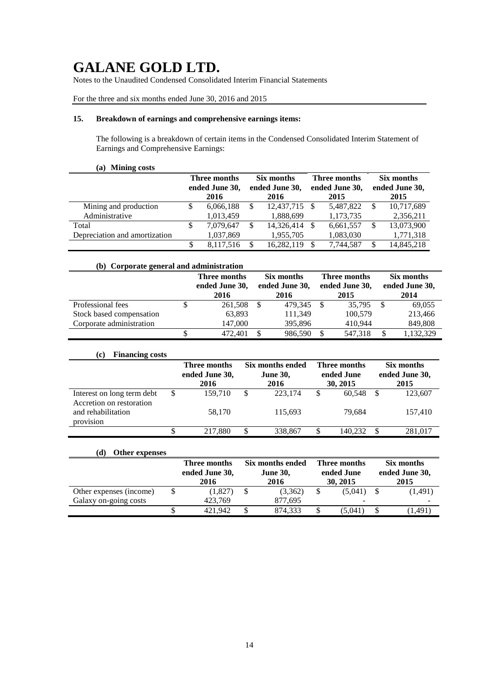Notes to the Unaudited Condensed Consolidated Interim Financial Statements

For the three and six months ended June 30, 2016 and 2015

# **15. Breakdown of earnings and comprehensive earnings items:**

The following is a breakdown of certain items in the Condensed Consolidated Interim Statement of Earnings and Comprehensive Earnings:

# **(a) Mining costs**

|                               | Three months<br>ended June 30, |           | Six months<br>ended June 30, |               |           |  | Three months<br>ended June 30, | Six months<br>ended June 30, |  |  |
|-------------------------------|--------------------------------|-----------|------------------------------|---------------|-----------|--|--------------------------------|------------------------------|--|--|
|                               |                                | 2016      |                              | 2016          | 2015      |  | 2015                           |                              |  |  |
| Mining and production         |                                | 6,066,188 | S                            | 12,437,715 \$ | 5,487,822 |  | 10,717,689                     |                              |  |  |
| Administrative                |                                | 1,013,459 |                              | 1,888,699     | 1,173,735 |  | 2,356,211                      |                              |  |  |
| Total                         |                                | 7.079.647 | S                            | 14,326,414    | 6,661,557 |  | 13,073,900                     |                              |  |  |
| Depreciation and amortization |                                | 1,037,869 |                              | 1,955,705     | 1,083,030 |  | 1,771,318                      |                              |  |  |
|                               |                                | 8,117,516 |                              | 16,282,119    | 7,744,587 |  | 14,845,218                     |                              |  |  |

| (b) Corporate general and administration |  |                                        |      |                                      |  |                                        |  |                                      |  |  |
|------------------------------------------|--|----------------------------------------|------|--------------------------------------|--|----------------------------------------|--|--------------------------------------|--|--|
|                                          |  | Three months<br>ended June 30,<br>2016 |      | Six months<br>ended June 30,<br>2016 |  | Three months<br>ended June 30,<br>2015 |  | Six months<br>ended June 30,<br>2014 |  |  |
| Professional fees                        |  | 261,508                                | - \$ | 479.345                              |  | 35.795                                 |  | 69,055                               |  |  |
| Stock based compensation                 |  | 63,893                                 |      | 111,349                              |  | 100,579                                |  | 213,466                              |  |  |
| Corporate administration                 |  | 147,000                                |      | 395,896                              |  | 410,944                                |  | 849,808                              |  |  |
|                                          |  | 472,401                                |      | 986,590                              |  | 547,318                                |  | 1,132,329                            |  |  |

# **(c) Financing costs**

|                                                        |   | Three months<br>ended June 30,<br>2016 | Six months ended<br><b>June 30,</b><br>2016 |         | Three months<br>ended June<br>30, 2015 |    | Six months<br>ended June 30,<br>2015 |
|--------------------------------------------------------|---|----------------------------------------|---------------------------------------------|---------|----------------------------------------|----|--------------------------------------|
| Interest on long term debt<br>Accretion on restoration | S | 159.710                                | -S                                          | 223.174 | \$<br>60.548                           | -S | 123,607                              |
| and rehabilitation<br>provision                        |   | 58,170                                 |                                             | 115.693 | 79.684                                 |    | 157,410                              |
|                                                        |   | 217.880                                | \$.                                         | 338,867 | \$<br>140.232                          | S  | 281,017                              |

## **(d) Other expenses**

|                         | Three months<br>ended June 30,<br>2016 |  | Six months ended<br><b>June 30,</b><br>2016 |    | Three months<br>ended June<br>30, 2015 |    | Six months<br>ended June 30,<br>2015 |  |
|-------------------------|----------------------------------------|--|---------------------------------------------|----|----------------------------------------|----|--------------------------------------|--|
| Other expenses (income) | (1,827)                                |  | (3,362)                                     | \$ | (5.041)                                |    | (1.491)                              |  |
| Galaxy on-going costs   | 423.769                                |  | 877.695                                     |    | $\overline{\phantom{0}}$               |    | -                                    |  |
|                         | 421.942                                |  | 874.333                                     | \$ | (5.041)                                | \$ | 1,491                                |  |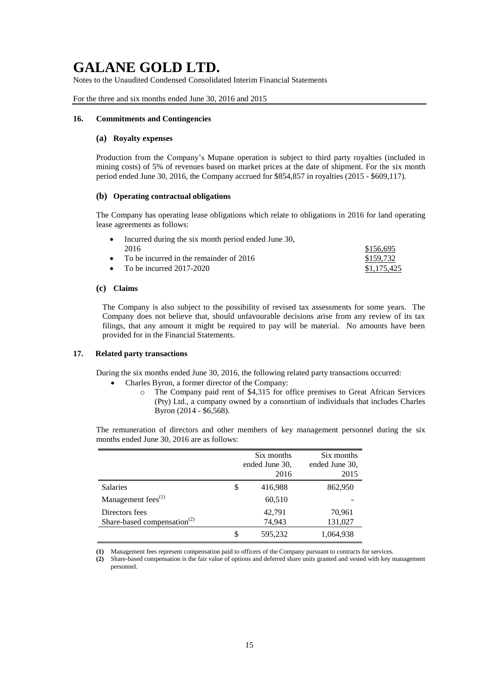Notes to the Unaudited Condensed Consolidated Interim Financial Statements

For the three and six months ended June 30, 2016 and 2015

### **16. Commitments and Contingencies**

### **(a) Royalty expenses**

Production from the Company's Mupane operation is subject to third party royalties (included in mining costs) of 5% of revenues based on market prices at the date of shipment. For the six month period ended June 30, 2016, the Company accrued for \$854,857 in royalties (2015 - \$609,117).

## **(b) Operating contractual obligations**

The Company has operating lease obligations which relate to obligations in 2016 for land operating lease agreements as follows:

| • Incurred during the six month period ended June 30, |             |
|-------------------------------------------------------|-------------|
| 2016                                                  | \$156,695   |
| • To be incurred in the remainder of $2016$           | \$159,732   |
| • To be incurred $2017-2020$                          | \$1,175,425 |

# **(c) Claims**

The Company is also subject to the possibility of revised tax assessments for some years. The Company does not believe that, should unfavourable decisions arise from any review of its tax filings, that any amount it might be required to pay will be material. No amounts have been provided for in the Financial Statements.

### **17. Related party transactions**

During the six months ended June 30, 2016, the following related party transactions occurred:

- Charles Byron, a former director of the Company:
	- o The Company paid rent of \$4,315 for office premises to Great African Services (Pty) Ltd., a company owned by a consortium of individuals that includes Charles Byron (2014 - \$6,568).

The remuneration of directors and other members of key management personnel during the six months ended June 30, 2016 are as follows:

|                                                      | Six months<br>ended June 30,<br>2016 | Six months<br>ended June 30,<br>2015 |
|------------------------------------------------------|--------------------------------------|--------------------------------------|
| Salaries                                             | 416,988                              | 862,950                              |
| Management fees <sup>(1)</sup>                       | 60,510                               | -                                    |
| Directors fees                                       | 42,791                               | 70,961                               |
| Share-based compensation <sup><math>(2)</math></sup> | 74,943                               | 131,027                              |
|                                                      | 595,232                              | 1,064,938                            |

**(1)** Management fees represent compensation paid to officers of the Company pursuant to contracts for services.<br> **(2)** Share-hased compensation is the fair value of options and deferred share units granted and vested with

**(2)** Share-based compensation is the fair value of options and deferred share units granted and vested with key management personnel.